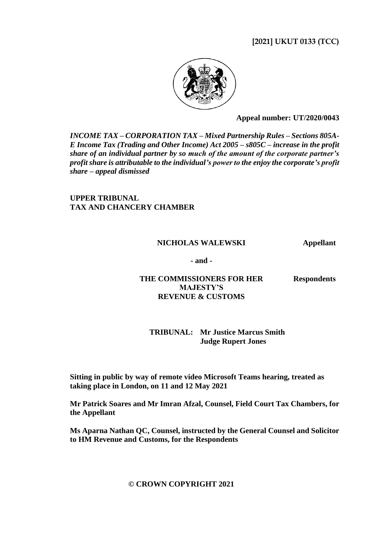## **[2021] UKUT 0133 (TCC)**



**Appeal number: UT/2020/0043**

*INCOME TAX – CORPORATION TAX – Mixed Partnership Rules – Sections 805A-E Income Tax (Trading and Other Income) Act 2005 – s805C – increase in the profit share of an individual partner by so much of the amount of the corporate partner's profit share is attributable to the individual's power to the enjoy the corporate's profit share – appeal dismissed*

**UPPER TRIBUNAL TAX AND CHANCERY CHAMBER**

#### **NICHOLAS WALEWSKI Appellant**

**- and -**

#### **THE COMMISSIONERS FOR HER MAJESTY'S REVENUE & CUSTOMS**

**Respondents**

### **TRIBUNAL: Mr Justice Marcus Smith Judge Rupert Jones**

**Sitting in public by way of remote video Microsoft Teams hearing, treated as taking place in London, on 11 and 12 May 2021**

**Mr Patrick Soares and Mr Imran Afzal, Counsel, Field Court Tax Chambers, for the Appellant**

**Ms Aparna Nathan QC, Counsel, instructed by the General Counsel and Solicitor to HM Revenue and Customs, for the Respondents**

#### **© CROWN COPYRIGHT 2021**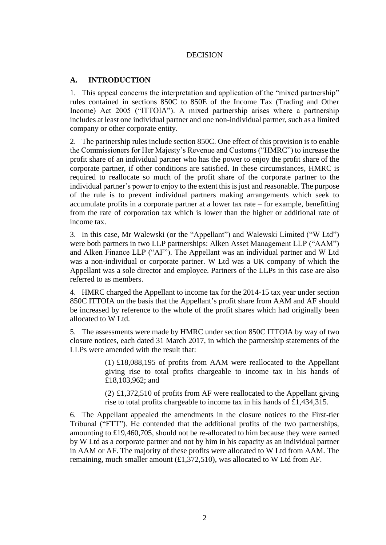### **DECISION**

## **A. INTRODUCTION**

1. This appeal concerns the interpretation and application of the "mixed partnership" rules contained in sections 850C to 850E of the Income Tax (Trading and Other Income) Act 2005 ("ITTOIA"). A mixed partnership arises where a partnership includes at least one individual partner and one non-individual partner, such as a limited company or other corporate entity.

2. The partnership rules include section 850C. One effect of this provision is to enable the Commissioners for Her Majesty's Revenue and Customs ("HMRC") to increase the profit share of an individual partner who has the power to enjoy the profit share of the corporate partner, if other conditions are satisfied. In these circumstances, HMRC is required to reallocate so much of the profit share of the corporate partner to the individual partner's power to enjoy to the extent this is just and reasonable. The purpose of the rule is to prevent individual partners making arrangements which seek to accumulate profits in a corporate partner at a lower tax rate – for example, benefitting from the rate of corporation tax which is lower than the higher or additional rate of income tax.

3. In this case, Mr Walewski (or the "Appellant") and Walewski Limited ("W Ltd") were both partners in two LLP partnerships: Alken Asset Management LLP ("AAM") and Alken Finance LLP ("AF"). The Appellant was an individual partner and W Ltd was a non-individual or corporate partner. W Ltd was a UK company of which the Appellant was a sole director and employee. Partners of the LLPs in this case are also referred to as members.

4. HMRC charged the Appellant to income tax for the 2014-15 tax year under section 850C ITTOIA on the basis that the Appellant's profit share from AAM and AF should be increased by reference to the whole of the profit shares which had originally been allocated to W Ltd.

5. The assessments were made by HMRC under section 850C ITTOIA by way of two closure notices, each dated 31 March 2017, in which the partnership statements of the LLPs were amended with the result that:

> (1) £18,088,195 of profits from AAM were reallocated to the Appellant giving rise to total profits chargeable to income tax in his hands of £18,103,962; and

> (2) £1,372,510 of profits from AF were reallocated to the Appellant giving rise to total profits chargeable to income tax in his hands of £1,434,315.

6. The Appellant appealed the amendments in the closure notices to the First-tier Tribunal ("FTT"). He contended that the additional profits of the two partnerships, amounting to £19,460,705, should not be re-allocated to him because they were earned by W Ltd as a corporate partner and not by him in his capacity as an individual partner in AAM or AF. The majority of these profits were allocated to W Ltd from AAM. The remaining, much smaller amount  $(\text{\textsterling}1,372,510)$ , was allocated to W Ltd from AF.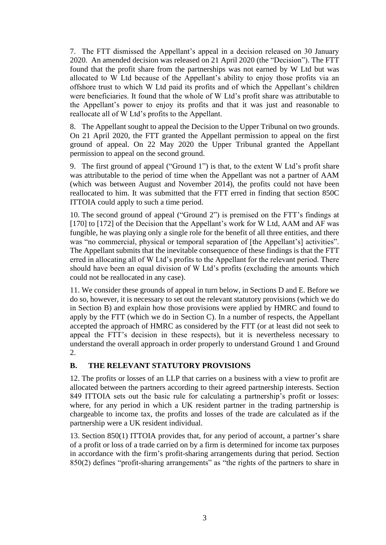7. The FTT dismissed the Appellant's appeal in a decision released on 30 January 2020. An amended decision was released on 21 April 2020 (the "Decision"). The FTT found that the profit share from the partnerships was not earned by W Ltd but was allocated to W Ltd because of the Appellant's ability to enjoy those profits via an offshore trust to which W Ltd paid its profits and of which the Appellant's children were beneficiaries. It found that the whole of W Ltd's profit share was attributable to the Appellant's power to enjoy its profits and that it was just and reasonable to reallocate all of W Ltd's profits to the Appellant.

8. The Appellant sought to appeal the Decision to the Upper Tribunal on two grounds. On 21 April 2020, the FTT granted the Appellant permission to appeal on the first ground of appeal. On 22 May 2020 the Upper Tribunal granted the Appellant permission to appeal on the second ground.

9. The first ground of appeal ("Ground 1") is that, to the extent W Ltd's profit share was attributable to the period of time when the Appellant was not a partner of AAM (which was between August and November 2014), the profits could not have been reallocated to him. It was submitted that the FTT erred in finding that section 850C ITTOIA could apply to such a time period.

10. The second ground of appeal ("Ground 2") is premised on the FTT's findings at [170] to [172] of the Decision that the Appellant's work for W Ltd, AAM and AF was fungible, he was playing only a single role for the benefit of all three entities, and there was "no commercial, physical or temporal separation of [the Appellant's] activities". The Appellant submits that the inevitable consequence of these findings is that the FTT erred in allocating all of W Ltd's profits to the Appellant for the relevant period. There should have been an equal division of W Ltd's profits (excluding the amounts which could not be reallocated in any case).

11. We consider these grounds of appeal in turn below, in Sections D and E. Before we do so, however, it is necessary to set out the relevant statutory provisions (which we do in Section B) and explain how those provisions were applied by HMRC and found to apply by the FTT (which we do in Section C). In a number of respects, the Appellant accepted the approach of HMRC as considered by the FTT (or at least did not seek to appeal the FTT's decision in these respects), but it is nevertheless necessary to understand the overall approach in order properly to understand Ground 1 and Ground 2.

## **B. THE RELEVANT STATUTORY PROVISIONS**

12. The profits or losses of an LLP that carries on a business with a view to profit are allocated between the partners according to their agreed partnership interests. Section 849 ITTOIA sets out the basic rule for calculating a partnership's profit or losses: where, for any period in which a UK resident partner in the trading partnership is chargeable to income tax, the profits and losses of the trade are calculated as if the partnership were a UK resident individual.

13. Section 850(1) ITTOIA provides that, for any period of account, a partner's share of a profit or loss of a trade carried on by a firm is determined for income tax purposes in accordance with the firm's profit-sharing arrangements during that period. Section 850(2) defines "profit-sharing arrangements" as "the rights of the partners to share in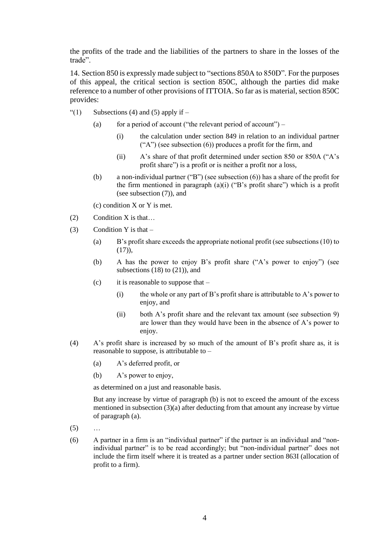the profits of the trade and the liabilities of the partners to share in the losses of the trade".

14. Section 850 is expressly made subject to "sections 850A to 850D". For the purposes of this appeal, the critical section is section 850C, although the parties did make reference to a number of other provisions of ITTOIA. So far as is material, section 850C provides:

- "(1) Subsections (4) and (5) apply if  $-$ 
	- (a) for a period of account ("the relevant period of account")
		- (i) the calculation under section 849 in relation to an individual partner  $("A")$  (see subsection  $(6)$ ) produces a profit for the firm, and
		- (ii) A's share of that profit determined under section 850 or 850A ("A's profit share") is a profit or is neither a profit nor a loss,
	- (b) a non-individual partner ("B") (see subsection (6)) has a share of the profit for the firm mentioned in paragraph  $(a)(i)$  ("B's profit share") which is a profit (see subsection (7)), and

(c) condition X or Y is met.

- (2) Condition X is that…
- (3) Condition Y is that  $-$ 
	- (a) B's profit share exceeds the appropriate notional profit (see subsections (10) to  $(17)$ ,
	- (b) A has the power to enjoy B's profit share ("A's power to enjoy") (see subsections  $(18)$  to  $(21)$ ), and
	- (c) it is reasonable to suppose that  $-$ 
		- (i) the whole or any part of B's profit share is attributable to A's power to enjoy, and
		- (ii) both A's profit share and the relevant tax amount (see subsection 9) are lower than they would have been in the absence of A's power to enjoy.
- (4) A's profit share is increased by so much of the amount of B's profit share as, it is reasonable to suppose, is attributable to –
	- (a) A's deferred profit, or
	- (b) A's power to enjoy,

as determined on a just and reasonable basis.

But any increase by virtue of paragraph (b) is not to exceed the amount of the excess mentioned in subsection (3)(a) after deducting from that amount any increase by virtue of paragraph (a).

- $(5)$  ...
- (6) A partner in a firm is an "individual partner" if the partner is an individual and "nonindividual partner" is to be read accordingly; but "non-individual partner" does not include the firm itself where it is treated as a partner under section 863I (allocation of profit to a firm).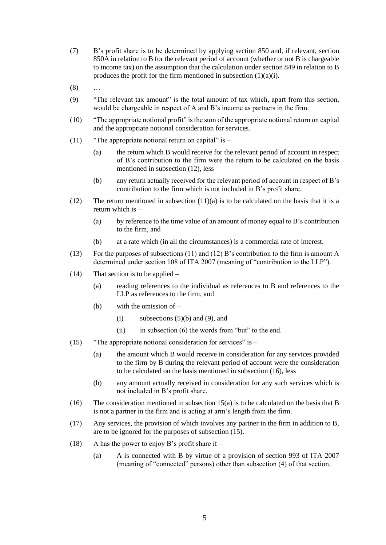- (7) B's profit share is to be determined by applying section 850 and, if relevant, section 850A in relation to B for the relevant period of account (whether or not B is chargeable to income tax) on the assumption that the calculation under section 849 in relation to B produces the profit for the firm mentioned in subsection (1)(a)(i).
- (8) …
- (9) "The relevant tax amount" is the total amount of tax which, apart from this section, would be chargeable in respect of A and B's income as partners in the firm.
- (10) "The appropriate notional profit" is the sum of the appropriate notional return on capital and the appropriate notional consideration for services.
- (11) "The appropriate notional return on capital" is  $-$ 
	- (a) the return which B would receive for the relevant period of account in respect of B's contribution to the firm were the return to be calculated on the basis mentioned in subsection (12), less
	- (b) any return actually received for the relevant period of account in respect of B's contribution to the firm which is not included in B's profit share.
- (12) The return mentioned in subsection  $(11)(a)$  is to be calculated on the basis that it is a return which is –
	- (a) by reference to the time value of an amount of money equal to B's contribution to the firm, and
	- (b) at a rate which (in all the circumstances) is a commercial rate of interest.
- (13) For the purposes of subsections (11) and (12) B's contribution to the firm is amount A determined under section 108 of ITA 2007 (meaning of "contribution to the LLP").
- $(14)$  That section is to be applied
	- (a) reading references to the individual as references to B and references to the LLP as references to the firm, and
	- (b) with the omission of  $-$ 
		- (i) subsections  $(5)(b)$  and  $(9)$ , and
		- (ii) in subsection  $(6)$  the words from "but" to the end.
- (15) "The appropriate notional consideration for services" is  $-$ 
	- (a) the amount which B would receive in consideration for any services provided to the firm by B during the relevant period of account were the consideration to be calculated on the basis mentioned in subsection (16), less
	- (b) any amount actually received in consideration for any such services which is not included in B's profit share.
- (16) The consideration mentioned in subsection  $15(a)$  is to be calculated on the basis that B is not a partner in the firm and is acting at arm's length from the firm.
- (17) Any services, the provision of which involves any partner in the firm in addition to B, are to be ignored for the purposes of subsection (15).
- (18) A has the power to enjoy B's profit share if  $-$ 
	- (a) A is connected with B by virtue of a provision of section 993 of ITA 2007 (meaning of "connected" persons) other than subsection (4) of that section,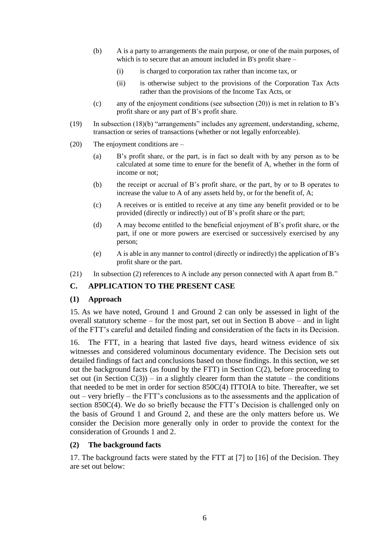- (b) A is a party to arrangements the main purpose, or one of the main purposes, of which is to secure that an amount included in B's profit share –
	- (i) is charged to corporation tax rather than income tax, or
	- (ii) is otherwise subject to the provisions of the Corporation Tax Acts rather than the provisions of the Income Tax Acts, or
- (c) any of the enjoyment conditions (see subsection (20)) is met in relation to B's profit share or any part of B's profit share.
- (19) In subsection (18)(b) "arrangements" includes any agreement, understanding, scheme, transaction or series of transactions (whether or not legally enforceable).
- (20) The enjoyment conditions are
	- (a) B's profit share, or the part, is in fact so dealt with by any person as to be calculated at some time to enure for the benefit of A, whether in the form of income or not;
	- (b) the receipt or accrual of B's profit share, or the part, by or to B operates to increase the value to A of any assets held by, or for the benefit of, A;
	- (c) A receives or is entitled to receive at any time any benefit provided or to be provided (directly or indirectly) out of B's profit share or the part;
	- (d) A may become entitled to the beneficial enjoyment of B's profit share, or the part, if one or more powers are exercised or successively exercised by any person;
	- (e) A is able in any manner to control (directly or indirectly) the application of B's profit share or the part.
- (21) In subsection (2) references to A include any person connected with A apart from B*.*"

## **C. APPLICATION TO THE PRESENT CASE**

#### **(1) Approach**

15. As we have noted, Ground 1 and Ground 2 can only be assessed in light of the overall statutory scheme – for the most part, set out in Section B above – and in light of the FTT's careful and detailed finding and consideration of the facts in its Decision.

16. The FTT, in a hearing that lasted five days, heard witness evidence of six witnesses and considered voluminous documentary evidence. The Decision sets out detailed findings of fact and conclusions based on those findings. In this section, we set out the background facts (as found by the FTT) in Section C(2), before proceeding to set out (in Section  $C(3)$ ) – in a slightly clearer form than the statute – the conditions that needed to be met in order for section 850C(4) ITTOIA to bite. Thereafter, we set out – very briefly – the FTT's conclusions as to the assessments and the application of section 850C(4). We do so briefly because the FTT's Decision is challenged only on the basis of Ground 1 and Ground 2, and these are the only matters before us. We consider the Decision more generally only in order to provide the context for the consideration of Grounds 1 and 2.

#### **(2) The background facts**

17. The background facts were stated by the FTT at [7] to [16] of the Decision. They are set out below: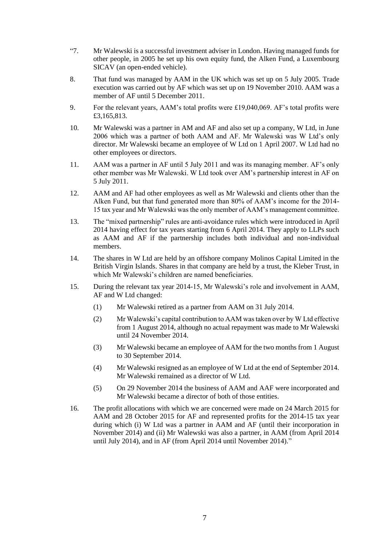- "7. Mr Walewski is a successful investment adviser in London. Having managed funds for other people, in 2005 he set up his own equity fund, the Alken Fund, a Luxembourg SICAV (an open-ended vehicle).
- 8. That fund was managed by AAM in the UK which was set up on 5 July 2005. Trade execution was carried out by AF which was set up on 19 November 2010. AAM was a member of AF until 5 December 2011.
- 9. For the relevant years, AAM's total profits were £19,040,069. AF's total profits were £3,165,813.
- 10. Mr Walewski was a partner in AM and AF and also set up a company, W Ltd, in June 2006 which was a partner of both AAM and AF. Mr Walewski was W Ltd's only director. Mr Walewski became an employee of W Ltd on 1 April 2007. W Ltd had no other employees or directors.
- 11. AAM was a partner in AF until 5 July 2011 and was its managing member. AF's only other member was Mr Walewski. W Ltd took over AM's partnership interest in AF on 5 July 2011.
- 12. AAM and AF had other employees as well as Mr Walewski and clients other than the Alken Fund, but that fund generated more than 80% of AAM's income for the 2014- 15 tax year and Mr Walewski was the only member of AAM's management committee.
- 13. The "mixed partnership" rules are anti-avoidance rules which were introduced in April 2014 having effect for tax years starting from 6 April 2014. They apply to LLPs such as AAM and AF if the partnership includes both individual and non-individual members.
- 14. The shares in W Ltd are held by an offshore company Molinos Capital Limited in the British Virgin Islands. Shares in that company are held by a trust, the Kleber Trust, in which Mr Walewski's children are named beneficiaries.
- 15. During the relevant tax year 2014-15, Mr Walewski's role and involvement in AAM, AF and W Ltd changed:
	- (1) Mr Walewski retired as a partner from AAM on 31 July 2014.
	- (2) Mr Walewski's capital contribution to AAM was taken over by W Ltd effective from 1 August 2014, although no actual repayment was made to Mr Walewski until 24 November 2014.
	- (3) Mr Walewski became an employee of AAM for the two months from 1 August to 30 September 2014.
	- (4) Mr Walewski resigned as an employee of W Ltd at the end of September 2014. Mr Walewski remained as a director of W Ltd.
	- (5) On 29 November 2014 the business of AAM and AAF were incorporated and Mr Walewski became a director of both of those entities.
- 16. The profit allocations with which we are concerned were made on 24 March 2015 for AAM and 28 October 2015 for AF and represented profits for the 2014-15 tax year during which (i) W Ltd was a partner in AAM and AF (until their incorporation in November 2014) and (ii) Mr Walewski was also a partner, in AAM (from April 2014 until July 2014), and in AF (from April 2014 until November 2014)."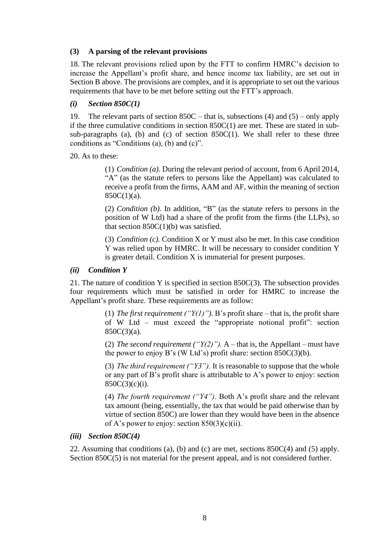#### **(3) A parsing of the relevant provisions**

18. The relevant provisions relied upon by the FTT to confirm HMRC's decision to increase the Appellant's profit share, and hence income tax liability, are set out in Section B above. The provisions are complex, and it is appropriate to set out the various requirements that have to be met before setting out the FTT's approach.

## *(i) Section 850C(1)*

19. The relevant parts of section 850C – that is, subsections (4) and (5) – only apply if the three cumulative conditions in section 850C(1) are met. These are stated in subsub-paragraphs (a), (b) and (c) of section  $850C(1)$ . We shall refer to these three conditions as "Conditions (a), (b) and (c)".

20. As to these:

(1) *Condition (a).* During the relevant period of account, from 6 April 2014, "A" (as the statute refers to persons like the Appellant) was calculated to receive a profit from the firms, AAM and AF, within the meaning of section 850C(1)(a).

(2) *Condition (b).* In addition, "B" (as the statute refers to persons in the position of W Ltd) had a share of the profit from the firms (the LLPs), so that section  $850C(1)(b)$  was satisfied.

(3) *Condition (c).* Condition X or Y must also be met. In this case condition Y was relied upon by HMRC. It will be necessary to consider condition Y is greater detail. Condition X is immaterial for present purposes.

## *(ii) Condition Y*

21. The nature of condition Y is specified in section 850C(3). The subsection provides four requirements which must be satisfied in order for HMRC to increase the Appellant's profit share. These requirements are as follow:

> (1) *The first requirement*  $({}^{\prime\prime}Y(I)$ "). B's profit share – that is, the profit share of W Ltd – must exceed the "appropriate notional profit": section 850C(3)(a).

> (2) *The second requirement* (" $Y(2)$ "). A – that is, the Appellant – must have the power to enjoy B's (W Ltd's) profit share: section  $850C(3)(b)$ .

> (3) *The third requirement ("Y3").* It is reasonable to suppose that the whole or any part of B's profit share is attributable to A's power to enjoy: section 850C(3)(c)(i).

> (4) *The fourth requirement ("Y4").* Both A's profit share and the relevant tax amount (being, essentially, the tax that would be paid otherwise than by virtue of section 850C) are lower than they would have been in the absence of A's power to enjoy: section  $850(3)(c)(ii)$ .

#### *(iii) Section 850C(4)*

22. Assuming that conditions (a), (b) and (c) are met, sections 850C(4) and (5) apply. Section 850C(5) is not material for the present appeal, and is not considered further.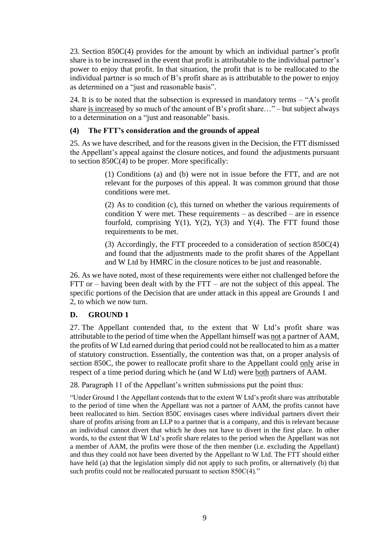23. Section 850C(4) provides for the amount by which an individual partner's profit share is to be increased in the event that profit is attributable to the individual partner's power to enjoy that profit. In that situation, the profit that is to be reallocated to the individual partner is so much of B's profit share as is attributable to the power to enjoy as determined on a "just and reasonable basis".

24. It is to be noted that the subsection is expressed in mandatory terms – "A's profit share is increased by so much of the amount of B's profit share…" – but subject always to a determination on a "just and reasonable" basis.

### **(4) The FTT's consideration and the grounds of appeal**

25. As we have described, and for the reasons given in the Decision, the FTT dismissed the Appellant's appeal against the closure notices, and found the adjustments pursuant to section 850C(4) to be proper. More specifically:

> (1) Conditions (a) and (b) were not in issue before the FTT, and are not relevant for the purposes of this appeal. It was common ground that those conditions were met.

> (2) As to condition (c), this turned on whether the various requirements of condition Y were met. These requirements – as described – are in essence fourfold, comprising  $Y(1)$ ,  $Y(2)$ ,  $Y(3)$  and  $Y(4)$ . The FTT found those requirements to be met.

> (3) Accordingly, the FTT proceeded to a consideration of section 850C(4) and found that the adjustments made to the profit shares of the Appellant and W Ltd by HMRC in the closure notices to be just and reasonable.

26. As we have noted, most of these requirements were either not challenged before the FTT or – having been dealt with by the FTT – are not the subject of this appeal. The specific portions of the Decision that are under attack in this appeal are Grounds 1 and 2, to which we now turn.

## **D. GROUND 1**

27. The Appellant contended that, to the extent that W Ltd's profit share was attributable to the period of time when the Appellant himself was not a partner of AAM, the profits of W Ltd earned during that period could not be reallocated to him as a matter of statutory construction. Essentially, the contention was that, on a proper analysis of section 850C, the power to reallocate profit share to the Appellant could only arise in respect of a time period during which he (and W Ltd) were both partners of AAM.

28. Paragraph 11 of the Appellant's written submissions put the point thus:

"Under Ground 1 the Appellant contends that to the extent W Ltd's profit share was attributable to the period of time when the Appellant was not a partner of AAM, the profits cannot have been reallocated to him. Section 850C envisages cases where individual partners divert their share of profits arising from an LLP to a partner that is a company, and this is relevant because an individual cannot divert that which he does not have to divert in the first place. In other words, to the extent that W Ltd's profit share relates to the period when the Appellant was not a member of AAM, the profits were those of the then member (i.e. excluding the Appellant) and thus they could not have been diverted by the Appellant to W Ltd. The FTT should either have held (a) that the legislation simply did not apply to such profits, or alternatively (b) that such profits could not be reallocated pursuant to section 850C(4)."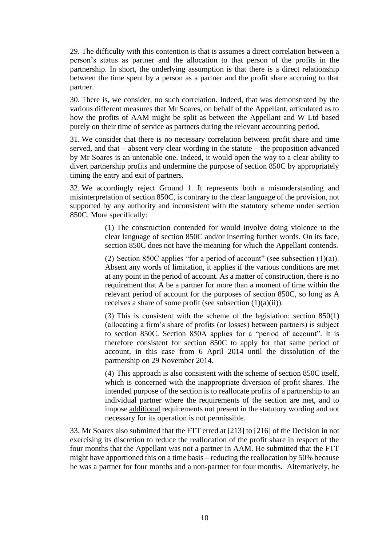29. The difficulty with this contention is that is assumes a direct correlation between a person's status as partner and the allocation to that person of the profits in the partnership. In short, the underlying assumption is that there is a direct relationship between the time spent by a person as a partner and the profit share accruing to that partner.

30. There is, we consider, no such correlation. Indeed, that was demonstrated by the various different measures that Mr Soares, on behalf of the Appellant, articulated as to how the profits of AAM might be split as between the Appellant and W Ltd based purely on their time of service as partners during the relevant accounting period.

31. We consider that there is no necessary correlation between profit share and time served, and that – absent very clear wording in the statute – the proposition advanced by Mr Soares is an untenable one. Indeed, it would open the way to a clear ability to divert partnership profits and undermine the purpose of section 850C by appropriately timing the entry and exit of partners.

32. We accordingly reject Ground 1. It represents both a misunderstanding and misinterpretation of section 850C, is contrary to the clear language of the provision, not supported by any authority and inconsistent with the statutory scheme under section 850C. More specifically:

> (1) The construction contended for would involve doing violence to the clear language of section 850C and/or inserting further words. On its face, section 850C does not have the meaning for which the Appellant contends.

> (2) Section 850C applies "for a period of account" (see subsection  $(1)(a)$ ). Absent any words of limitation, it applies if the various conditions are met at any point in the period of account. As a matter of construction, there is no requirement that A be a partner for more than a moment of time within the relevant period of account for the purposes of section 850C, so long as A receives a share of some profit (see subsection (1)(a)(ii)).

> (3) This is consistent with the scheme of the legislation: section 850(1) (allocating a firm's share of profits (or losses) between partners) is subject to section 850C. Section 850A applies for a "period of account". It is therefore consistent for section 850C to apply for that same period of account, in this case from 6 April 2014 until the dissolution of the partnership on 29 November 2014.

> (4) This approach is also consistent with the scheme of section 850C itself, which is concerned with the inappropriate diversion of profit shares. The intended purpose of the section is to reallocate profits of a partnership to an individual partner where the requirements of the section are met, and to impose additional requirements not present in the statutory wording and not necessary for its operation is not permissible.

33. Mr Soares also submitted that the FTT erred at [213] to [216] of the Decision in not exercising its discretion to reduce the reallocation of the profit share in respect of the four months that the Appellant was not a partner in AAM. He submitted that the FTT might have apportioned this on a time basis – reducing the reallocation by 50% because he was a partner for four months and a non-partner for four months. Alternatively, he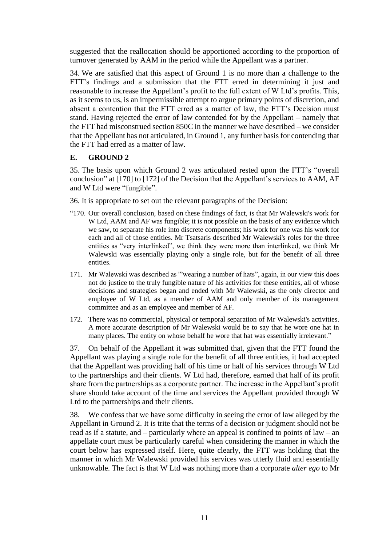suggested that the reallocation should be apportioned according to the proportion of turnover generated by AAM in the period while the Appellant was a partner.

34. We are satisfied that this aspect of Ground 1 is no more than a challenge to the FTT's findings and a submission that the FTT erred in determining it just and reasonable to increase the Appellant's profit to the full extent of W Ltd's profits. This, as it seems to us, is an impermissible attempt to argue primary points of discretion, and absent a contention that the FTT erred as a matter of law, the FTT's Decision must stand. Having rejected the error of law contended for by the Appellant – namely that the FTT had misconstrued section 850C in the manner we have described – we consider that the Appellant has not articulated, in Ground 1, any further basis for contending that the FTT had erred as a matter of law.

## **E. GROUND 2**

35. The basis upon which Ground 2 was articulated rested upon the FTT's "overall conclusion" at [170] to [172] of the Decision that the Appellant's services to AAM, AF and W Ltd were "fungible".

- 36. It is appropriate to set out the relevant paragraphs of the Decision:
- "170. Our overall conclusion, based on these findings of fact, is that Mr Walewski's work for W Ltd, AAM and AF was fungible; it is not possible on the basis of any evidence which we saw, to separate his role into discrete components; his work for one was his work for each and all of those entities. Mr Tsatsaris described Mr Walewski's roles for the three entities as "very interlinked", we think they were more than interlinked, we think Mr Walewski was essentially playing only a single role, but for the benefit of all three entities.
- 171. Mr Walewski was described as '"wearing a number of hats", again, in our view this does not do justice to the truly fungible nature of his activities for these entities, all of whose decisions and strategies began and ended with Mr Walewski, as the only director and employee of W Ltd, as a member of AAM and only member of its management committee and as an employee and member of AF.
- 172. There was no commercial, physical or temporal separation of Mr Walewski's activities. A more accurate description of Mr Walewski would be to say that he wore one hat in many places. The entity on whose behalf he wore that hat was essentially irrelevant."

37. On behalf of the Appellant it was submitted that, given that the FTT found the Appellant was playing a single role for the benefit of all three entities, it had accepted that the Appellant was providing half of his time or half of his services through W Ltd to the partnerships and their clients. W Ltd had, therefore, earned that half of its profit share from the partnerships as a corporate partner. The increase in the Appellant's profit share should take account of the time and services the Appellant provided through W Ltd to the partnerships and their clients.

38. We confess that we have some difficulty in seeing the error of law alleged by the Appellant in Ground 2. It is trite that the terms of a decision or judgment should not be read as if a statute, and – particularly where an appeal is confined to points of law – an appellate court must be particularly careful when considering the manner in which the court below has expressed itself. Here, quite clearly, the FTT was holding that the manner in which Mr Walewski provided his services was utterly fluid and essentially unknowable. The fact is that W Ltd was nothing more than a corporate *alter ego* to Mr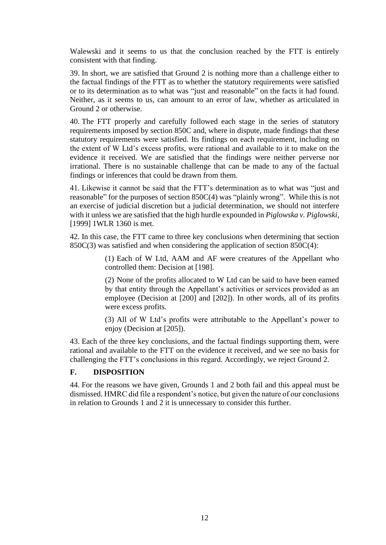Walewski and it seems to us that the conclusion reached by the FTT is entirely consistent with that finding.

39. In short, we are satisfied that Ground 2 is nothing more than a challenge either to the factual findings of the FTT as to whether the statutory requirements were satisfied or to its determination as to what was "just and reasonable" on the facts it had found. Neither, as it seems to us, can amount to an error of law, whether as articulated in Ground 2 or otherwise.

40. The FTT properly and carefully followed each stage in the series of statutory requirements imposed by section 850C and, where in dispute, made findings that these statutory requirements were satisfied. Its findings on each requirement, including on the extent of W Ltd's excess profits, were rational and available to it to make on the evidence it received. We are satisfied that the findings were neither perverse nor irrational. There is no sustainable challenge that can be made to any of the factual findings or inferences that could be drawn from them.

41. Likewise it cannot be said that the FTT's determination as to what was "just and reasonable" for the purposes of section 850C(4) was "plainly wrong". While this is not an exercise of judicial discretion but a judicial determination, we should not interfere with it unless we are satisfied that the high hurdle expounded in *Piglowska v. Piglowski*, [1999] 1WLR 1360 is met.

42. In this case, the FTT came to three key conclusions when determining that section 850C(3) was satisfied and when considering the application of section 850C(4):

> (1) Each of W Ltd, AAM and AF were creatures of the Appellant who controlled them: Decision at [198].

> (2) None of the profits allocated to W Ltd can be said to have been earned by that entity through the Appellant's activities or services provided as an employee (Decision at [200] and [202]). In other words, all of its profits were excess profits.

> (3) All of W Ltd's profits were attributable to the Appellant's power to enjoy (Decision at [205]).

43. Each of the three key conclusions, and the factual findings supporting them, were rational and available to the FTT on the evidence it received, and we see no basis for challenging the FTT's conclusions in this regard. Accordingly, we reject Ground 2.

#### **F. DISPOSITION**

44. For the reasons we have given, Grounds 1 and 2 both fail and this appeal must be dismissed. HMRC did file a respondent's notice, but given the nature of our conclusions in relation to Grounds 1 and 2 it is unnecessary to consider this further.